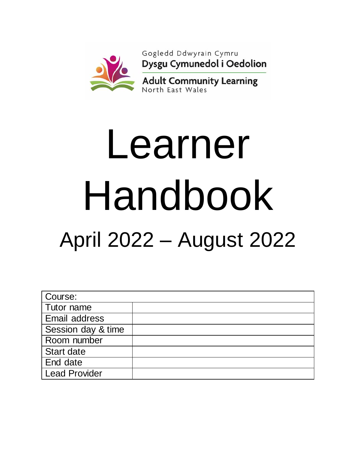

# Learner Handbook April 2022 – August 2022

| Course:              |  |
|----------------------|--|
| Tutor name           |  |
| Email address        |  |
| Session day & time   |  |
| Room number          |  |
| <b>Start date</b>    |  |
| End date             |  |
| <b>Lead Provider</b> |  |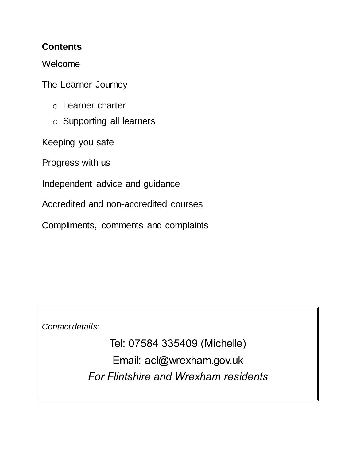# **Contents**

Welcome

The Learner Journey

- o Learner charter
- o Supporting all learners

Keeping you safe

Progress with us

Independent advice and guidance

Accredited and non-accredited courses

Compliments, comments and complaints

*Contact details:*

Tel: 07584 335409 (Michelle) Email: acl@wrexham.gov.uk *For Flintshire and Wrexham residents*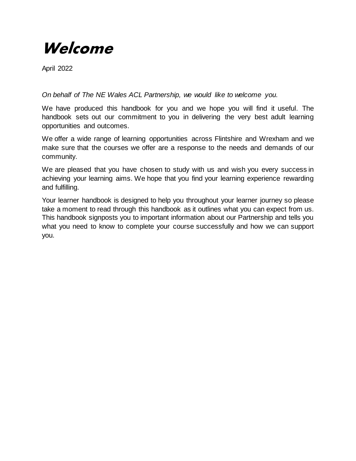# **Welcome**

April 2022

*On behalf of The NE Wales ACL Partnership, we would like to welcome you.*

We have produced this handbook for you and we hope you will find it useful. The handbook sets out our commitment to you in delivering the very best adult learning opportunities and outcomes.

We offer a wide range of learning opportunities across Flintshire and Wrexham and we make sure that the courses we offer are a response to the needs and demands of our community.

We are pleased that you have chosen to study with us and wish you every success in achieving your learning aims. We hope that you find your learning experience rewarding and fulfilling.

Your learner handbook is designed to help you throughout your learner journey so please take a moment to read through this handbook as it outlines what you can expect from us. This handbook signposts you to important information about our Partnership and tells you what you need to know to complete your course successfully and how we can support you.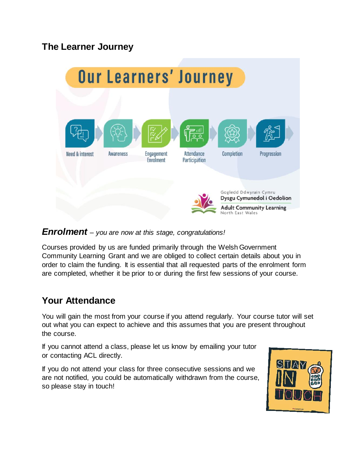# **The Learner Journey**



#### *Enrolment – you are now at this stage, congratulations!*

Courses provided by us are funded primarily through the Welsh Government Community Learning Grant and we are obliged to collect certain details about you in order to claim the funding. It is essential that all requested parts of the enrolment form are completed, whether it be prior to or during the first few sessions of your course.

# **Your Attendance**

You will gain the most from your course if you attend regularly. Your course tutor will set out what you can expect to achieve and this assumes that you are present throughout the course.

If you cannot attend a class, please let us know by emailing your tutor or contacting ACL directly.

If you do not attend your class for three consecutive sessions and we are not notified, you could be automatically withdrawn from the course, so please stay in touch!

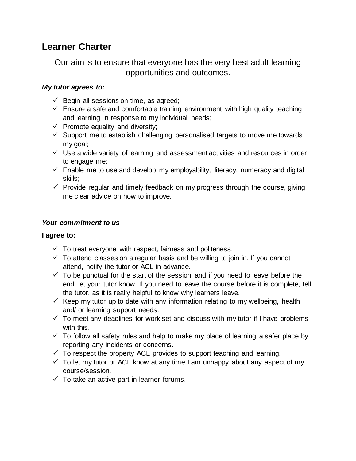# **Learner Charter**

Our aim is to ensure that everyone has the very best adult learning opportunities and outcomes.

#### *My tutor agrees to:*

- $\checkmark$  Begin all sessions on time, as agreed;
- $\checkmark$  Ensure a safe and comfortable training environment with high quality teaching and learning in response to my individual needs;
- $\checkmark$  Promote equality and diversity;
- $\checkmark$  Support me to establish challenging personalised targets to move me towards my goal;
- $\checkmark$  Use a wide variety of learning and assessment activities and resources in order to engage me;
- $\checkmark$  Enable me to use and develop my employability, literacy, numeracy and digital skills;
- $\checkmark$  Provide regular and timely feedback on my progress through the course, giving me clear advice on how to improve.

#### *Your commitment to us*

#### **I agree to:**

- $\checkmark$  To treat everyone with respect, fairness and politeness.
- $\checkmark$  To attend classes on a regular basis and be willing to join in. If you cannot attend, notify the tutor or ACL in advance.
- $\checkmark$  To be punctual for the start of the session, and if you need to leave before the end, let your tutor know. If you need to leave the course before it is complete, tell the tutor, as it is really helpful to know why learners leave.
- $\checkmark$  Keep my tutor up to date with any information relating to my wellbeing, health and/ or learning support needs.
- $\checkmark$  To meet any deadlines for work set and discuss with my tutor if I have problems with this.
- $\checkmark$  To follow all safety rules and help to make my place of learning a safer place by reporting any incidents or concerns.
- $\checkmark$  To respect the property ACL provides to support teaching and learning.
- $\checkmark$  To let my tutor or ACL know at any time I am unhappy about any aspect of my course/session.
- $\checkmark$  To take an active part in learner forums.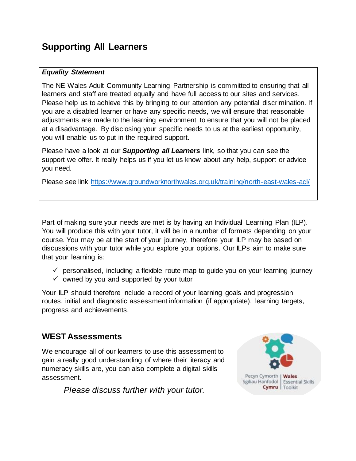# **Supporting All Learners**

#### *Equality Statement*

The NE Wales Adult Community Learning Partnership is committed to ensuring that all learners and staff are treated equally and have full access to our sites and services. Please help us to achieve this by bringing to our attention any potential discrimination. If you are a disabled learner or have any specific needs, we will ensure that reasonable adjustments are made to the learning environment to ensure that you will not be placed at a disadvantage. By disclosing your specific needs to us at the earliest opportunity, you will enable us to put in the required support.

Please have a look at our *Supporting all Learners* link, so that you can see the support we offer. It really helps us if you let us know about any help, support or advice you need.

Please see link<https://www.groundworknorthwales.org.uk/training/north-east-wales-acl/>

Part of making sure your needs are met is by having an Individual Learning Plan (ILP). You will produce this with your tutor, it will be in a number of formats depending on your course. You may be at the start of your journey, therefore your ILP may be based on discussions with your tutor while you explore your options. Our ILPs aim to make sure that your learning is:

- $\checkmark$  personalised, including a flexible route map to guide you on your learning journey
- $\checkmark$  owned by you and supported by your tutor

Your ILP should therefore include a record of your learning goals and progression routes, initial and diagnostic assessment information (if appropriate), learning targets, progress and achievements.

#### **WEST Assessments**

We encourage all of our learners to use this assessment to gain a really good understanding of where their literacy and numeracy skills are, you can also complete a digital skills assessment.

*Please discuss further with your tutor.*

![](_page_5_Picture_12.jpeg)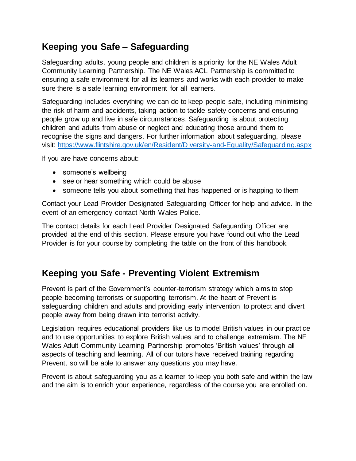# **Keeping you Safe – Safeguarding**

Safeguarding adults, young people and children is a priority for the NE Wales Adult Community Learning Partnership. The NE Wales ACL Partnership is committed to ensuring a safe environment for all its learners and works with each provider to make sure there is a safe learning environment for all learners.

Safeguarding includes everything we can do to keep people safe, including minimising the risk of harm and accidents, taking action to tackle safety concerns and ensuring people grow up and live in safe circumstances. Safeguarding is about protecting children and adults from abuse or neglect and educating those around them to recognise the signs and dangers. For further information about safeguarding, please visit: <https://www.flintshire.gov.uk/en/Resident/Diversity-and-Equality/Safeguarding.aspx>

If you are have concerns about:

- someone's wellbeing
- see or hear something which could be abuse
- someone tells you about something that has happened or is happing to them

Contact your Lead Provider Designated Safeguarding Officer for help and advice. In the event of an emergency contact North Wales Police.

The contact details for each Lead Provider Designated Safeguarding Officer are provided at the end of this section. Please ensure you have found out who the Lead Provider is for your course by completing the table on the front of this handbook.

# **Keeping you Safe - Preventing Violent Extremism**

Prevent is part of the Government's counter-terrorism strategy which aims to stop people becoming terrorists or supporting terrorism. At the heart of Prevent is safeguarding children and adults and providing early intervention to protect and divert people away from being drawn into terrorist activity.

Legislation requires educational providers like us to model British values in our practice and to use opportunities to explore British values and to challenge extremism. The NE Wales Adult Community Learning Partnership promotes 'British values' through all aspects of teaching and learning. All of our tutors have received training regarding Prevent, so will be able to answer any questions you may have.

Prevent is about safeguarding you as a learner to keep you both safe and within the law and the aim is to enrich your experience, regardless of the course you are enrolled on.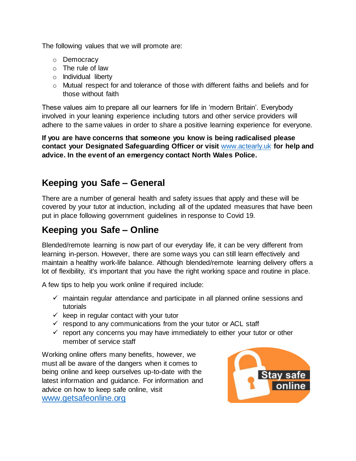The following values that we will promote are:

- o Democracy
- o The rule of law
- o Individual liberty
- o Mutual respect for and tolerance of those with different faiths and beliefs and for those without faith

These values aim to prepare all our learners for life in 'modern Britain'. Everybody involved in your leaning experience including tutors and other service providers will adhere to the same values in order to share a positive learning experience for everyone.

**If you are have concerns that someone you know is being radicalised please contact your Designated Safeguarding Officer or visit** [www.actearly.uk](http://www.actearly.uk/) **for help and advice. In the event of an emergency contact North Wales Police.**

# **Keeping you Safe – General**

There are a number of general health and safety issues that apply and these will be covered by your tutor at induction, including all of the updated measures that have been put in place following government guidelines in response to Covid 19.

# **Keeping you Safe – Online**

Blended/remote learning is now part of our everyday life, it can be very different from learning in-person. However, there are some ways you can still learn effectively and maintain a healthy work-life balance. Although blended/remote learning delivery offers a lot of flexibility, it's important that you have the right working space and routine in place.

A few tips to help you work online if required include:

- $\checkmark$  maintain regular attendance and participate in all planned online sessions and tutorials
- $\checkmark$  keep in regular contact with your tutor
- $\checkmark$  respond to any communications from the your tutor or ACL staff
- $\checkmark$  report any concerns you may have immediately to either your tutor or other member of service staff

Working online offers many benefits, however, we must all be aware of the dangers when it comes to being online and keep ourselves up-to-date with the latest information and guidance. For information and advice on how to keep safe online, visit www.getsafeonline.org

![](_page_7_Picture_17.jpeg)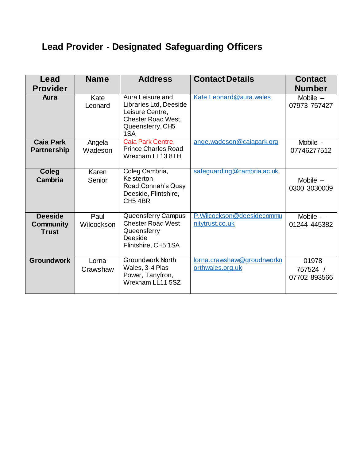# **Lead Provider - Designated Safeguarding Officers**

| Lead                                        | <b>Name</b>        | <b>Address</b>                                                                                                        | <b>Contact Details</b>                         | <b>Contact</b>                    |
|---------------------------------------------|--------------------|-----------------------------------------------------------------------------------------------------------------------|------------------------------------------------|-----------------------------------|
| <b>Provider</b>                             |                    |                                                                                                                       |                                                | <b>Number</b>                     |
| Aura                                        | Kate<br>Leonard    | Aura Leisure and<br>Libraries Ltd, Deeside<br>Leisure Centre,<br><b>Chester Road West,</b><br>Queensferry, CH5<br>1SA | Kate.Leonard@aura.wales                        | Mobile $-$<br>07973 757427        |
| <b>Caia Park</b><br><b>Partnership</b>      | Angela<br>Wadeson  | Caia Park Centre,<br><b>Prince Charles Road</b><br>Wrexham LL13 8TH                                                   | ange.wadeson@caiapark.org                      | Mobile -<br>07746277512           |
| Coleg<br>Cambria                            | Karen<br>Senior    | Coleg Cambria,<br>Kelsterton<br>Road, Connah's Quay,<br>Deeside, Flintshire,<br>CH <sub>5</sub> 4BR                   | safeguarding@cambria.ac.uk                     | Mobile $-$<br>0300 3030009        |
| <b>Deeside</b><br>Community<br><b>Trust</b> | Paul<br>Wilcockson | Queensferry Campus<br><b>Chester Road West</b><br>Queensferry<br>Deeside<br>Flintshire, CH5 1SA                       | P.Wilcockson@deesidecommu<br>nitytrust.co.uk   | Mobile $-$<br>01244 445382        |
| <b>Groundwork</b>                           | Lorna<br>Crawshaw  | <b>Groundwork North</b><br>Wales, 3-4 Plas<br>Power, Tanyfron,<br>Wrexham LL11 5SZ                                    | lorna.crawshaw@groudnworkn<br>orthwales.org.uk | 01978<br>757524 /<br>07702 893566 |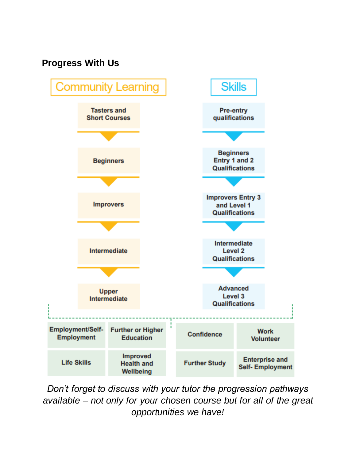# **Progress With Us**

![](_page_9_Figure_1.jpeg)

*Don't forget to discuss with your tutor the progression pathways available – not only for your chosen course but for all of the great opportunities we have!*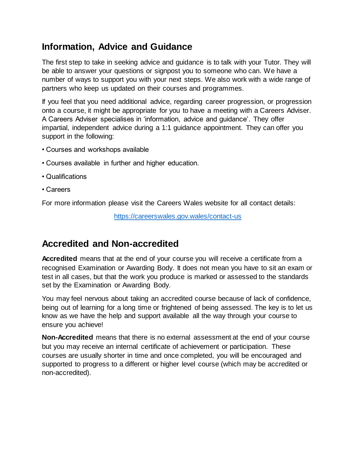# **Information, Advice and Guidance**

The first step to take in seeking advice and guidance is to talk with your Tutor. They will be able to answer your questions or signpost you to someone who can. We have a number of ways to support you with your next steps. We also work with a wide range of partners who keep us updated on their courses and programmes.

If you feel that you need additional advice, regarding career progression, or progression onto a course, it might be appropriate for you to have a meeting with a Careers Adviser. A Careers Adviser specialises in 'information, advice and guidance'. They offer impartial, independent advice during a 1:1 guidance appointment. They can offer you support in the following:

- Courses and workshops available
- Courses available in further and higher education.
- Qualifications
- Careers

For more information please visit the Careers Wales website for all contact details:

<https://careerswales.gov.wales/contact-us>

### **Accredited and Non-accredited**

**Accredited** means that at the end of your course you will receive a certificate from a recognised Examination or Awarding Body. It does not mean you have to sit an exam or test in all cases, but that the work you produce is marked or assessed to the standards set by the Examination or Awarding Body.

You may feel nervous about taking an accredited course because of lack of confidence, being out of learning for a long time or frightened of being assessed. The key is to let us know as we have the help and support available all the way through your course to ensure you achieve!

**Non-Accredited** means that there is no external assessment at the end of your course but you may receive an internal certificate of achievement or participation. These courses are usually shorter in time and once completed, you will be encouraged and supported to progress to a different or higher level course (which may be accredited or non-accredited).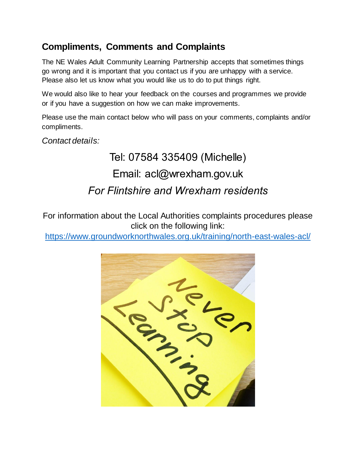# **Compliments, Comments and Complaints**

The NE Wales Adult Community Learning Partnership accepts that sometimes things go wrong and it is important that you contact us if you are unhappy with a service. Please also let us know what you would like us to do to put things right.

We would also like to hear your feedback on the courses and programmes we provide or if you have a suggestion on how we can make improvements.

Please use the main contact below who will pass on your comments, complaints and/or compliments.

*Contact details:*

# Tel: 07584 335409 (Michelle) Email: acl@wrexham.gov.uk *For Flintshire and Wrexham residents*

For information about the Local Authorities complaints procedures please click on the following link:

[https://www.groundworknorthwales.org.uk/training/north-east-wales-acl](https://www.groundworknorthwales.org.uk/training/north-east-wales-acl/)/

![](_page_11_Picture_8.jpeg)